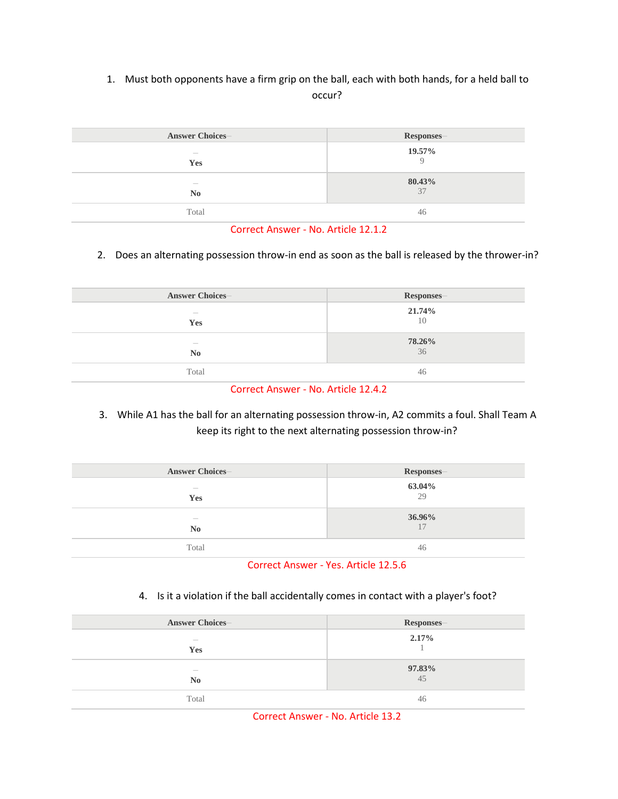# 1. Must both opponents have a firm grip on the ball, each with both hands, for a held ball to occur?

| <b>Answer Choices-</b>          | Responses-      |
|---------------------------------|-----------------|
| $\frac{1}{2}$<br>Yes            | 19.57%          |
| $\frac{1}{2}$<br>N <sub>0</sub> | $80.43\%$<br>37 |
| Total                           | 46              |

Correct Answer - No. Article 12.1.2

# 2. Does an alternating possession throw-in end as soon as the ball is released by the thrower-in?

| <b>Answer Choices-</b>          | Responses- |
|---------------------------------|------------|
| $\hspace{0.1mm}-\hspace{0.1mm}$ | 21.74%     |
| Yes                             | 10         |
| $\overline{\phantom{a}}$        | 78.26%     |
| N <sub>0</sub>                  | 36         |
| Total                           | 46         |

Correct Answer - No. Article 12.4.2

3. While A1 has the ball for an alternating possession throw-in, A2 commits a foul. Shall Team A keep its right to the next alternating possession throw-in?

| <b>Answer Choices-</b>                            | Responses-           |
|---------------------------------------------------|----------------------|
| $\sim$<br>Yes                                     | $\frac{63.04\%}{29}$ |
| $\hspace{0.1mm}-\hspace{0.1mm}$<br>N <sub>0</sub> | 36.96%<br>17         |
| Total                                             | 46                   |

## Correct Answer - Yes. Article 12.5.6

4. Is it a violation if the ball accidentally comes in contact with a player's foot?

| <b>Answer Choices-</b>                     | Responses-      |
|--------------------------------------------|-----------------|
| $\frac{1}{2}$<br>Yes                       | $2.17\%$        |
| $\overline{\phantom{a}}$<br>N <sub>0</sub> | $97.83\%$<br>45 |
| Total                                      | 46              |

Correct Answer - No. Article 13.2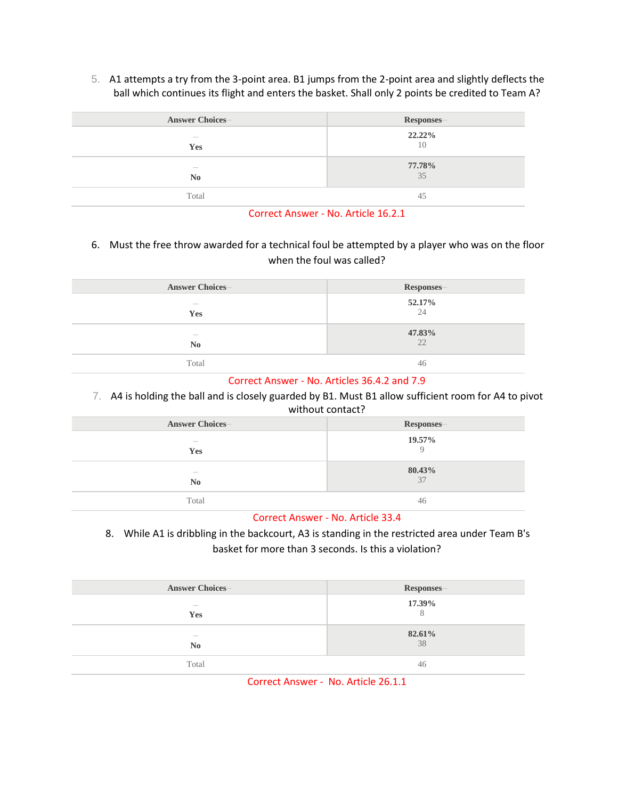5. A1 attempts a try from the 3-point area. B1 jumps from the 2-point area and slightly deflects the ball which continues its flight and enters the basket. Shall only 2 points be credited to Team A?

| <b>Answer Choices-</b> | Responses- |
|------------------------|------------|
| $\sim$                 | 22.22%     |
| <b>Yes</b>             | 10         |
| $\qquad \qquad$        | 77.78%     |
| N <sub>0</sub>         | 35         |
| Total                  | 45         |

#### Correct Answer - No. Article 16.2.1

6. Must the free throw awarded for a technical foul be attempted by a player who was on the floor when the foul was called?

| <b>Answer Choices-</b> | Responses- |
|------------------------|------------|
| $\frac{1}{2}$          | 52.17%     |
| Yes                    | 24         |
| $\frac{1}{2}$          | 47.83%     |
| N <sub>0</sub>         | 22         |
| Total                  | 46         |

## Correct Answer - No. Articles 36.4.2 and 7.9

7. A4 is holding the ball and is closely guarded by B1. Must B1 allow sufficient room for A4 to pivot without contact?

| <b>Answer Choices-</b> | Responses- |
|------------------------|------------|
| $\frac{1}{2}$          | 19.57%     |
| Yes                    | $\Omega$   |
| $\frac{1}{2}$          | 80.43%     |
| N <sub>0</sub>         | 37         |
| Total                  | 46         |

## Correct Answer - No. Article 33.4

8. While A1 is dribbling in the backcourt, A3 is standing in the restricted area under Team B's basket for more than 3 seconds. Is this a violation?

| <b>Answer Choices-</b>          | Responses- |
|---------------------------------|------------|
| $\hspace{0.1mm}-\hspace{0.1mm}$ | 17.39%     |
| Yes                             | 8          |
| $\hspace{0.1mm}-\hspace{0.1mm}$ | 82.61%     |
| N <sub>0</sub>                  | 38         |
| Total                           | 46         |

Correct Answer - No. Article 26.1.1